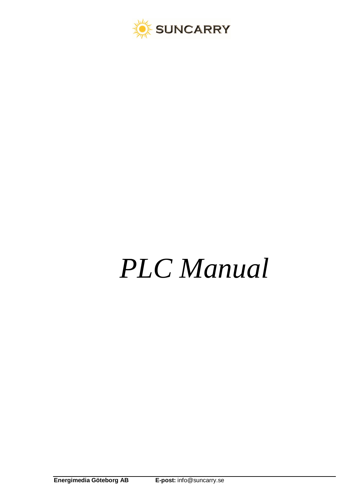

# *PLC Manual*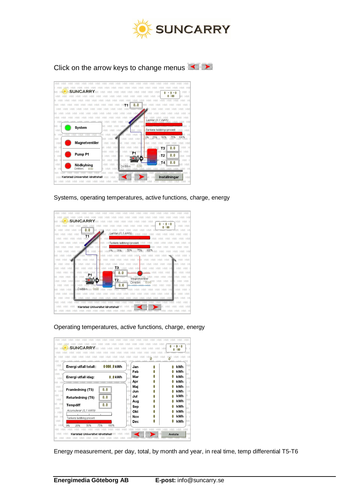

Click on the arrow keys to change menus



Systems, operating temperatures, active functions, charge, energy



Operating temperatures, active functions, charge, energy

| <b>HMI</b>                             |             |                  |         | <b>HMI</b>                |
|----------------------------------------|-------------|------------------|---------|---------------------------|
|                                        |             |                  |         | $n - n$                   |
| SUNCARRY                               |             |                  | HM      | 11 H<br>0:00              |
|                                        |             |                  |         |                           |
|                                        |             |                  |         |                           |
| -IML                                   | LINAI       | 1.13.81          | 1.18.81 | LIAAL<br>TEL 41<br>LIN/LL |
| <b>HMI</b><br>Energi utfall totalt:    | 00000 kWh   | MI<br>Jan        | 0       | HMI<br>kWh                |
| МL<br>HI                               |             | Feb              | n       | $\mathbb H$<br><b>kWh</b> |
| <b>HMI</b><br>Energi utfall idag:      | $0.0$ kWh   | Mar              | Ω       | MI<br>kWh<br>0            |
| I HMI<br>IMI<br>H                      |             | MI<br>Apr<br>HN  | 0       | HM<br>kWh<br>J)           |
| HMI                                    |             | Mai<br>Иī        | 0       | kWh<br>IMI                |
| Framledning (T5)<br>AL HM              | 0.0         | HMI<br>Jun       | Λ       | kWh<br>HN                 |
| HMI H                                  |             | Н                |         | kWh                       |
| Returledning (T6)<br><b>HMI</b>        | 0.0         | Jul<br>MI        | Λ       | Ω<br>HM1                  |
| MI HN                                  | 0.0         | Aug<br>HN        | Λ       | kWh<br>Ω<br>$\mathbb H$   |
| Tempdiff<br>HMI F                      |             | Sep<br>Þ         | Λ       | kWh<br>Ω<br>MI            |
| Acumulerar (0,1 kWh)<br>I HMI          |             | Okt<br><b>MI</b> | Ω       | kWh<br>HM                 |
| IMI HI<br>Tankens laddning procent     |             | Nov<br>H         | Ω       | kWh<br>Ω<br>J.            |
| HMI                                    |             | 41<br>Dec        | 0       | kWh<br>IMI<br>0           |
| 50%<br>HM<br>25%<br>AT.<br>0%          | 75%<br>100% |                  |         | HN                        |
|                                        |             |                  |         | HM1<br>HМ                 |
| Karlstad Universitet idrottshall<br>НM |             | <b>HMI</b>       | il san  | $-N1$<br>Avsluta          |
| MI                                     |             |                  |         |                           |

Energy measurement, per day, total, by month and year, in real time, temp differential T5-T6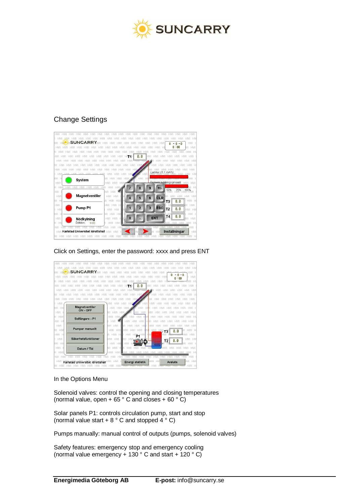

## Change Settings



## Click on Settings, enter the password: xxxx and press ENT



## In the Options Menu

Solenoid valves: control the opening and closing temperatures (normal value, open +  $65 \degree$  C and closes +  $60 \degree$  C)

Solar panels P1: controls circulation pump, start and stop (normal value start  $+ 8$   $^{\circ}$  C and stopped 4  $^{\circ}$  C)

Pumps manually: manual control of outputs (pumps, solenoid valves)

Safety features: emergency stop and emergency cooling (normal value emergency  $+ 130^\circ$  C and start  $+ 120^\circ$  C)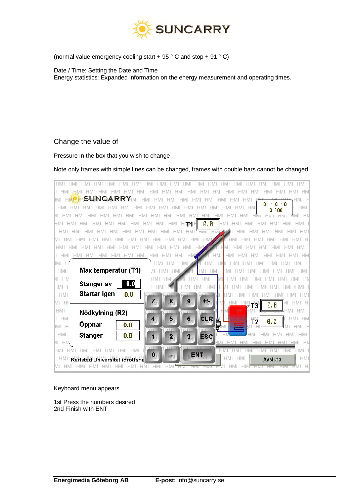

(normal value emergency cooling start + 95 ° C and stop + 91 ° C)

Date / Time: Setting the Date and Time Energy statistics: Expanded information on the energy measurement and operating times.

## Change the value of

## Pressure in the box that you wish to change

## Note only frames with simple lines can be changed, frames with double bars cannot be changed

| <b>HMI</b><br><b>HMI</b><br><b>HMI</b><br><b>HMI</b><br><b>HMI</b><br>hmi<br>HMI<br>HMI<br><b>HMI</b><br><b>HM</b>             |
|--------------------------------------------------------------------------------------------------------------------------------|
| HM                                                                                                                             |
| <b>SUNCARRY</b><br>.HMI<br>HMI<br>M1                                                                                           |
| $-0$<br>Ω<br><b>HMI</b><br><b>HMI</b><br>HMI HM<br><b>HMI</b><br><b>HMI</b><br>HMI<br>HMI                                      |
|                                                                                                                                |
| 0,0<br>$+1M1$<br><b>HMI</b><br>HMI<br><b>HMI</b><br><b>HMI</b><br><b>HMI</b><br>HMI<br><b>HMI</b><br>HMI<br>T1 H<br>HMI<br>HMI |
| <b>HMI</b>                                                                                                                     |
| <b>HMI</b>                                                                                                                     |
| НΙ<br><b>HML</b>                                                                                                               |
| <b>HMI</b><br><b>HMI</b><br>HMI<br>HMI                                                                                         |
| IM1<br>HM1<br>HM1<br>HM1<br><b>HMI</b><br>н                                                                                    |
| Max temperatur (T1)<br><b>HMI</b><br>ЛĪ<br><b>HMI</b><br><b>HMI</b><br><b>HM</b><br>HMI                                        |
| HN<br>ИТ<br>HMI.<br>HN<br>HN<br><b>HM</b>                                                                                      |
| 0.0<br>Stänger av<br>HMH<br><b>HMI</b><br>HM<br>HMI<br>1HMI<br>н                                                               |
| <b>Startar igen</b><br>0.0<br>HM1<br><b>HMI</b>                                                                                |
| 7 <sub>01</sub><br>8<br>9 <sub>1</sub><br>$+1$ .<br>H<br>MĽ<br>0,0                                                             |
| <b>HMI</b><br><b>HMI</b><br>-IMI<br>Nödkylning (R2)                                                                            |
| <b>CLR</b><br>5<br>$6\phantom{1}$<br>$I$ $HM$<br>HM<br>$\overline{\mathbf{r}}$<br>0,0<br>Τ2                                    |
| Öppnar<br>0.0<br>IM1<br>十                                                                                                      |
| <b>HMI</b><br><b>Stänger</b><br>0.0<br>HMI<br>$\mathbf{3}_{\parallel}$<br><b>ESC</b><br>2 <sub>11</sub><br>1                   |
| HN<br>ИТ                                                                                                                       |
| <b>HMI</b><br><b>HMI</b><br>HMI<br>HMI<br>HMI<br>$\mathbf{0}$<br><b>ENT</b>                                                    |
| <b>HMI</b><br>HM1<br>НM<br>НM<br>Avsluta<br>Karlstad Universitet idrottsha                                                     |
| MI<br>HМ<br>Н                                                                                                                  |

#### Keyboard menu appears.

1st Press the numbers desired 2nd Finish with ENT